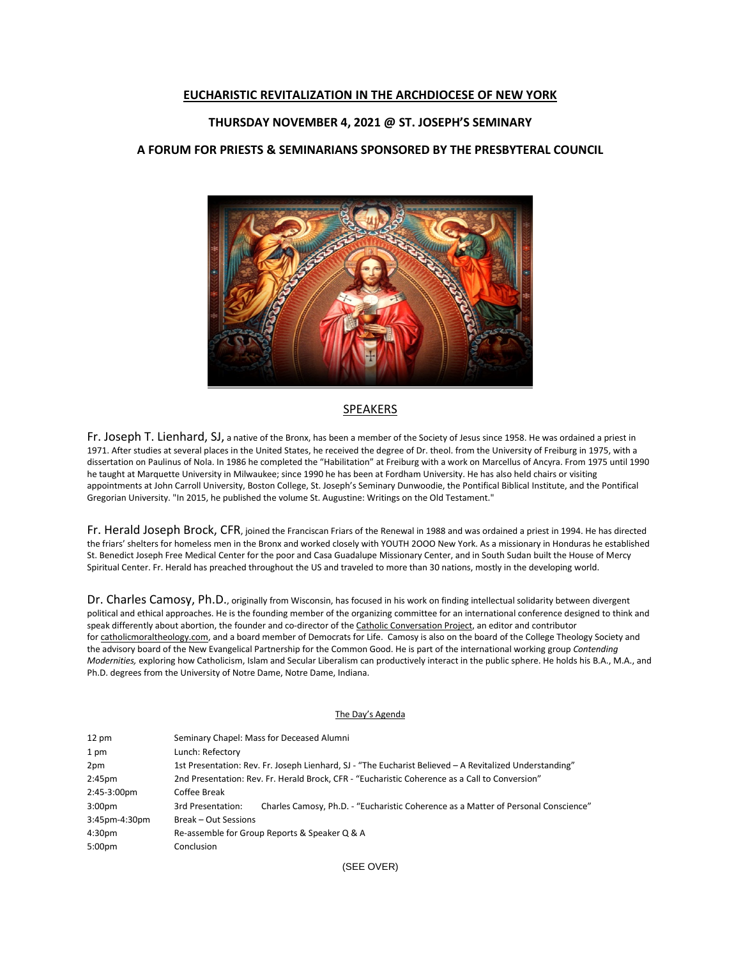### **EUCHARISTIC REVITALIZATION IN THE ARCHDIOCESE OF NEW YORK**

# **THURSDAY NOVEMBER 4, 2021 @ ST. JOSEPH'S SEMINARY**

# **A FORUM FOR PRIESTS & SEMINARIANS SPONSORED BY THE PRESBYTERAL COUNCIL**



#### SPEAKERS

Fr. Joseph T. Lienhard, SJ, a native of the Bronx, has been a member of the Society of Jesus since 1958. He was ordained a priest in 1971. After studies at several places in the United States, he received the degree of Dr. theol. from the University of Freiburg in 1975, with a dissertation on Paulinus of Nola. In 1986 he completed the "Habilitation" at Freiburg with a work on Marcellus of Ancyra. From 1975 until 1990 he taught at Marquette University in Milwaukee; since 1990 he has been at Fordham University. He has also held chairs or visiting appointments at John Carroll University, Boston College, St. Joseph's Seminary Dunwoodie, the Pontifical Biblical Institute, and the Pontifical Gregorian University. "In 2015, he published the volume St. Augustine: Writings on the Old Testament."

Fr. Herald Joseph Brock, CFR, joined the Franciscan Friars of the Renewal in 1988 and was ordained a priest in 1994. He has directed the friars' shelters for homeless men in the Bronx and worked closely with YOUTH 2OOO New York. As a missionary in Honduras he established St. Benedict Joseph Free Medical Center for the poor and Casa Guadalupe Missionary Center, and in South Sudan built the House of Mercy Spiritual Center. Fr. Herald has preached throughout the US and traveled to more than 30 nations, mostly in the developing world.

Dr. Charles Camosy, Ph.D., originally from Wisconsin, has focused in his work on finding intellectual solidarity between divergent political and ethical approaches. He is the founding member of the organizing committee for an international conference designed to think and speak differently about abortion, the founder and co-director of the [Catholic Conversation Project,](http://ncronline.org/blogs/distinctly-catholic/catholic-conversation-project) an editor and contributor for [catholicmoraltheology.com,](http://catholicmoraltheology.com/) and a board member of Democrats for Life. Camosy is also on the board of the College Theology Society and the advisory board of the New Evangelical Partnership for the Common Good. He is part of the international working group *Contending Modernities,* exploring how Catholicism, Islam and Secular Liberalism can productively interact in the public sphere. He holds his B.A., M.A., and Ph.D. degrees from the University of Notre Dame, Notre Dame, Indiana.

#### The Day's Agenda

| $12 \text{ pm}$    | Seminary Chapel: Mass for Deceased Alumni                                                               |                                                                                    |
|--------------------|---------------------------------------------------------------------------------------------------------|------------------------------------------------------------------------------------|
| 1 pm               | Lunch: Refectory                                                                                        |                                                                                    |
| 2pm                | 1st Presentation: Rev. Fr. Joseph Lienhard, SJ - "The Eucharist Believed - A Revitalized Understanding" |                                                                                    |
| 2:45 <sub>pm</sub> | 2nd Presentation: Rev. Fr. Herald Brock, CFR - "Eucharistic Coherence as a Call to Conversion"          |                                                                                    |
| 2:45-3:00pm        | Coffee Break                                                                                            |                                                                                    |
| 3:00 <sub>pm</sub> | 3rd Presentation:                                                                                       | Charles Camosy, Ph.D. - "Eucharistic Coherence as a Matter of Personal Conscience" |
| 3:45pm-4:30pm      | <b>Break - Out Sessions</b>                                                                             |                                                                                    |
| 4:30 <sub>pm</sub> | Re-assemble for Group Reports & Speaker Q & A                                                           |                                                                                    |
| 5:00pm             | Conclusion                                                                                              |                                                                                    |